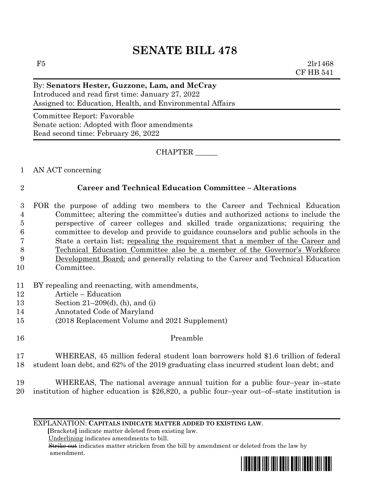# **SENATE BILL 478**

 $F5$  2lr1468 CF HB 541

# By: **Senators Hester, Guzzone, Lam, and McCray** Introduced and read first time: January 27, 2022 Assigned to: Education, Health, and Environmental Affairs

Committee Report: Favorable Senate action: Adopted with floor amendments Read second time: February 26, 2022

CHAPTER \_\_\_\_\_\_

1 AN ACT concerning

# 2 **Career and Technical Education Committee – Alterations**

- 3 FOR the purpose of adding two members to the Career and Technical Education 4 Committee; altering the committee's duties and authorized actions to include the 5 perspective of career colleges and skilled trade organizations; requiring the 6 committee to develop and provide to guidance counselors and public schools in the 7 State a certain list; repealing the requirement that a member of the Career and 8 Technical Education Committee also be a member of the Governor's Workforce 9 Development Board; and generally relating to the Career and Technical Education 10 Committee.
- 11 BY repealing and reenacting, with amendments,
- 12 Article Education
- 13 Section 21–209(d), (h), and (i)
- 14 Annotated Code of Maryland
- 15 (2018 Replacement Volume and 2021 Supplement)
- 16 Preamble

17 WHEREAS, 45 million federal student loan borrowers hold \$1.6 trillion of federal 18 student loan debt, and 62% of the 2019 graduating class incurred student loan debt; and

19 WHEREAS, The national average annual tuition for a public four–year in–state 20 institution of higher education is \$26,820, a public four–year out–of–state institution is

EXPLANATION: **CAPITALS INDICATE MATTER ADDED TO EXISTING LAW**.

 **[**Brackets**]** indicate matter deleted from existing law.

Underlining indicates amendments to bill.

 Strike out indicates matter stricken from the bill by amendment or deleted from the law by amendment.

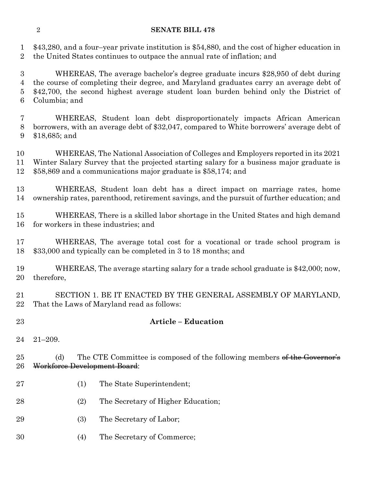### **SENATE BILL 478**

 \$43,280, and a four–year private institution is \$54,880, and the cost of higher education in the United States continues to outpace the annual rate of inflation; and

 WHEREAS, The average bachelor's degree graduate incurs \$28,950 of debt during the course of completing their degree, and Maryland graduates carry an average debt of \$42,700, the second highest average student loan burden behind only the District of Columbia; and

 WHEREAS, Student loan debt disproportionately impacts African American borrowers, with an average debt of \$32,047, compared to White borrowers' average debt of \$18,685; and

 WHEREAS, The National Association of Colleges and Employers reported in its 2021 Winter Salary Survey that the projected starting salary for a business major graduate is \$58,869 and a communications major graduate is \$58,174; and

 WHEREAS, Student loan debt has a direct impact on marriage rates, home ownership rates, parenthood, retirement savings, and the pursuit of further education; and

 WHEREAS, There is a skilled labor shortage in the United States and high demand for workers in these industries; and

 WHEREAS, The average total cost for a vocational or trade school program is \$33,000 and typically can be completed in 3 to 18 months; and

 WHEREAS, The average starting salary for a trade school graduate is \$42,000; now, therefore,

 SECTION 1. BE IT ENACTED BY THE GENERAL ASSEMBLY OF MARYLAND, That the Laws of Maryland read as follows:

## **Article – Education**

21–209.

25 (d) The CTE Committee is composed of the following members of the Governor's Workforce Development Board:

- (1) The State Superintendent;
- (2) The Secretary of Higher Education;
- (3) The Secretary of Labor;
- (4) The Secretary of Commerce;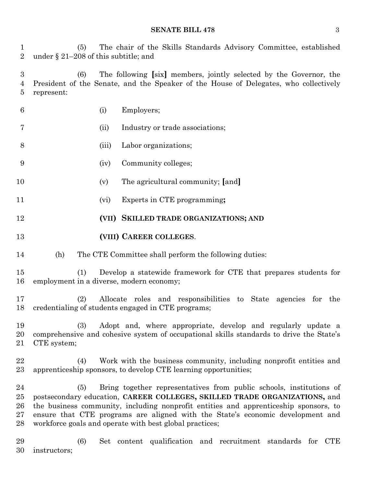**SENATE BILL 478** 3

 (5) The chair of the Skills Standards Advisory Committee, established under § 21–208 of this subtitle; and

 (6) The following **[**six**]** members, jointly selected by the Governor, the President of the Senate, and the Speaker of the House of Delegates, who collectively represent:

- (i) Employers; (ii) Industry or trade associations; (iii) Labor organizations; (iv) Community colleges; (v) The agricultural community; **[**and**]** (vi) Experts in CTE programming**;**
- **(VII) SKILLED TRADE ORGANIZATIONS; AND**
- **(VIII) CAREER COLLEGES**.
- (h) The CTE Committee shall perform the following duties:

 (1) Develop a statewide framework for CTE that prepares students for employment in a diverse, modern economy;

 (2) Allocate roles and responsibilities to State agencies for the credentialing of students engaged in CTE programs;

 (3) Adopt and, where appropriate, develop and regularly update a comprehensive and cohesive system of occupational skills standards to drive the State's CTE system;

 (4) Work with the business community, including nonprofit entities and apprenticeship sponsors, to develop CTE learning opportunities;

 (5) Bring together representatives from public schools, institutions of postsecondary education, **CAREER COLLEGES, SKILLED TRADE ORGANIZATIONS,** and the business community, including nonprofit entities and apprenticeship sponsors, to ensure that CTE programs are aligned with the State's economic development and workforce goals and operate with best global practices;

 (6) Set content qualification and recruitment standards for CTE instructors;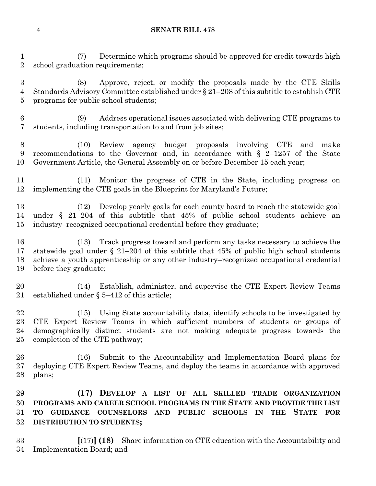### **SENATE BILL 478**

 (7) Determine which programs should be approved for credit towards high school graduation requirements;

 (8) Approve, reject, or modify the proposals made by the CTE Skills Standards Advisory Committee established under § 21–208 of this subtitle to establish CTE programs for public school students;

 (9) Address operational issues associated with delivering CTE programs to students, including transportation to and from job sites;

 (10) Review agency budget proposals involving CTE and make recommendations to the Governor and, in accordance with § 2–1257 of the State Government Article, the General Assembly on or before December 15 each year;

 (11) Monitor the progress of CTE in the State, including progress on implementing the CTE goals in the Blueprint for Maryland's Future;

 (12) Develop yearly goals for each county board to reach the statewide goal under § 21–204 of this subtitle that 45% of public school students achieve an industry–recognized occupational credential before they graduate;

 (13) Track progress toward and perform any tasks necessary to achieve the statewide goal under § 21–204 of this subtitle that 45% of public high school students achieve a youth apprenticeship or any other industry–recognized occupational credential before they graduate;

 (14) Establish, administer, and supervise the CTE Expert Review Teams established under § 5–412 of this article;

 (15) Using State accountability data, identify schools to be investigated by CTE Expert Review Teams in which sufficient numbers of students or groups of demographically distinct students are not making adequate progress towards the completion of the CTE pathway;

 (16) Submit to the Accountability and Implementation Board plans for deploying CTE Expert Review Teams, and deploy the teams in accordance with approved plans;

 **(17) DEVELOP A LIST OF ALL SKILLED TRADE ORGANIZATION PROGRAMS AND CAREER SCHOOL PROGRAMS IN THE STATE AND PROVIDE THE LIST TO GUIDANCE COUNSELORS AND PUBLIC SCHOOLS IN THE STATE FOR DISTRIBUTION TO STUDENTS;**

 **[**(17)**] (18)** Share information on CTE education with the Accountability and Implementation Board; and